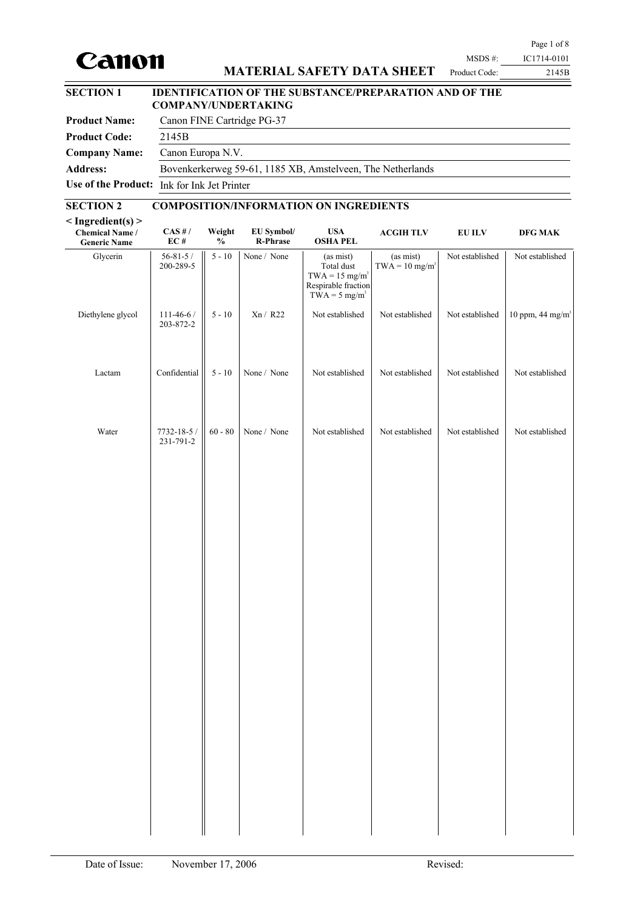# Canon

# **MATERIAL SAFETY DATA SHEET**

| <b>SECTION 1</b>     | <b>IDENTIFICATION OF THE SUBSTANCE/PREPARATION AND OF THE</b><br><b>COMPANY/UNDERTAKING</b> |
|----------------------|---------------------------------------------------------------------------------------------|
| <b>Product Name:</b> | Canon FINE Cartridge PG-37                                                                  |
| <b>Product Code:</b> | 2145B                                                                                       |
| <b>Company Name:</b> | Canon Europa N.V.                                                                           |
| <b>Address:</b>      | Bovenkerkerweg 59-61, 1185 XB, Amstelveen, The Netherlands                                  |
|                      | Use of the Product: Ink for Ink Jet Printer                                                 |

# **SECTION 2 COMPOSITION/INFORMATION ON INGREDIENTS**

| $<$ Ingredient(s) $>$<br><b>Chemical Name /</b><br><b>Generic Name</b> | $\mathbf{CAS}$ # /<br>$\mathbf{EC}$ # | Weight<br>$\frac{1}{2}$ | EU Symbol/<br>R-Phrase | <b>USA</b><br><b>OSHA PEL</b>                                                                                 | <b>ACGIH TLV</b>                          | <b>EU ILV</b>   | DFG MAK                      |
|------------------------------------------------------------------------|---------------------------------------|-------------------------|------------------------|---------------------------------------------------------------------------------------------------------------|-------------------------------------------|-----------------|------------------------------|
| Glycerin                                                               | 56-81-5 /<br>200-289-5                | $5 - 10$                | None / None            | (as mist)<br>Total dust<br>$TWA = 15$ mg/m <sup>3</sup><br>Respirable fraction<br>$TWA = 5$ mg/m <sup>3</sup> | (as mist)<br>$TWA = 10$ mg/m <sup>3</sup> | Not established | Not established              |
| Diethylene glycol                                                      | $111 - 46 - 6/$<br>203-872-2          | $5 - 10$                | Xn / R22               | Not established                                                                                               | Not established                           | Not established | 10 ppm, 44 mg/m <sup>3</sup> |
| Lactam                                                                 | Confidential                          | $5$ - $10\,$            | None / None            | Not established                                                                                               | Not established                           | Not established | Not established              |
| Water                                                                  | 7732-18-5 /<br>231-791-2              | $60 - 80$               | None / None            | Not established                                                                                               | Not established                           | Not established | Not established              |
|                                                                        |                                       |                         |                        |                                                                                                               |                                           |                 |                              |
|                                                                        |                                       |                         |                        |                                                                                                               |                                           |                 |                              |
|                                                                        |                                       |                         |                        |                                                                                                               |                                           |                 |                              |
|                                                                        |                                       |                         |                        |                                                                                                               |                                           |                 |                              |
|                                                                        |                                       |                         |                        |                                                                                                               |                                           |                 |                              |
|                                                                        |                                       |                         |                        |                                                                                                               |                                           |                 |                              |
|                                                                        |                                       |                         |                        |                                                                                                               |                                           |                 |                              |
|                                                                        |                                       |                         |                        |                                                                                                               |                                           |                 |                              |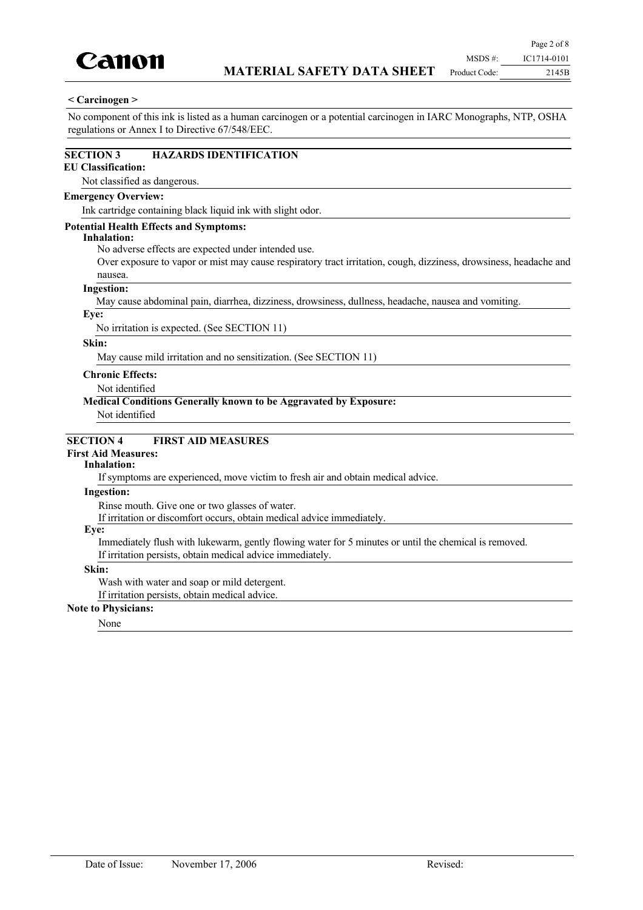

#### **< Carcinogen >**

No component of this ink is listed as a human carcinogen or a potential carcinogen in IARC Monographs, NTP, OSHA regulations or Annex I to Directive 67/548/EEC.

#### **SECTION 3 HAZARDS IDENTIFICATION**

### **EU Classification:**

Not classified as dangerous.

#### **Emergency Overview:**

Ink cartridge containing black liquid ink with slight odor.

#### **Potential Health Effects and Symptoms:**

#### **Inhalation:**

No adverse effects are expected under intended use.

Over exposure to vapor or mist may cause respiratory tract irritation, cough, dizziness, drowsiness, headache and nausea.

#### **Ingestion:**

May cause abdominal pain, diarrhea, dizziness, drowsiness, dullness, headache, nausea and vomiting.

#### **Eye:**

No irritation is expected. (See SECTION 11)

#### **Skin:**

May cause mild irritation and no sensitization. (See SECTION 11)

### **Chronic Effects:**

Not identified

### **Medical Conditions Generally known to be Aggravated by Exposure:**

Not identified

### **SECTION 4 FIRST AID MEASURES**

# **First Aid Measures:**

### **Inhalation:**

If symptoms are experienced, move victim to fresh air and obtain medical advice.

#### **Ingestion:**

Rinse mouth. Give one or two glasses of water.

If irritation or discomfort occurs, obtain medical advice immediately.

#### **Eye:**

Immediately flush with lukewarm, gently flowing water for 5 minutes or until the chemical is removed. If irritation persists, obtain medical advice immediately.

#### **Skin:**

Wash with water and soap or mild detergent.

If irritation persists, obtain medical advice.

### **Note to Physicians:**

None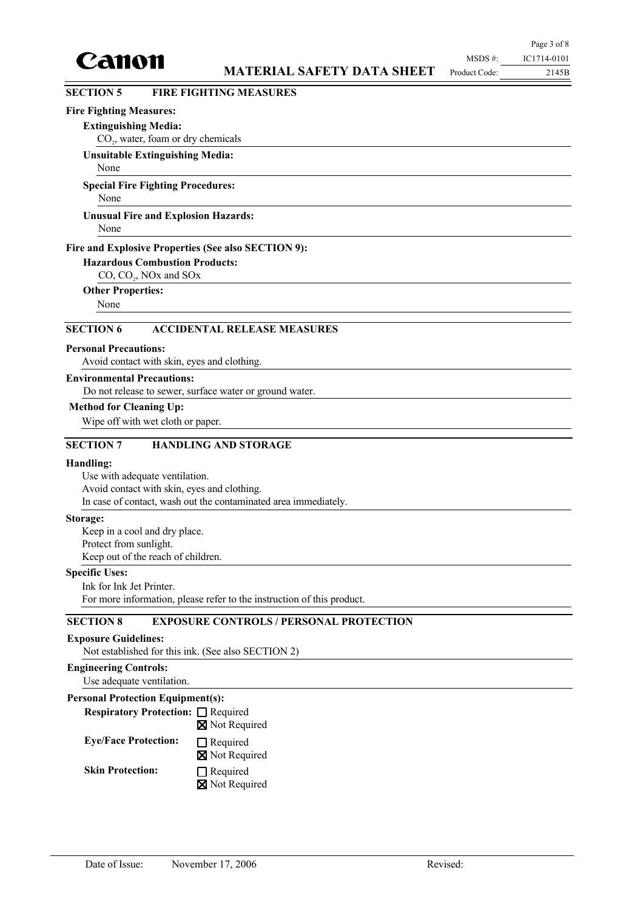

2145B

# **SECTION 5 FIRE FIGHTING MEASURES**

### **Fire Fighting Measures:**

#### **Extinguishing Media:**

CO<sub>2</sub>, water, foam or dry chemicals

# **Unsuitable Extinguishing Media:**

None

# **Special Fire Fighting Procedures:**

None

#### None **Unusual Fire and Explosion Hazards:**

#### **Fire and Explosive Properties (See also SECTION 9):**

**Hazardous Combustion Products:**

 $CO$ ,  $CO<sub>2</sub>$ , NOx and SOx

#### **Other Properties:**

None

# **SECTION 6 ACCIDENTAL RELEASE MEASURES**

#### **Personal Precautions:**

Avoid contact with skin, eyes and clothing.

#### **Environmental Precautions:**

Do not release to sewer, surface water or ground water.

### **Method for Cleaning Up:**

Wipe off with wet cloth or paper.

### **SECTION 7 HANDLING AND STORAGE**

#### **Handling:**

Use with adequate ventilation. Avoid contact with skin, eyes and clothing. In case of contact, wash out the contaminated area immediately.

#### **Storage:**

Keep in a cool and dry place. Protect from sunlight. Keep out of the reach of children.

### **Specific Uses:**

Ink for Ink Jet Printer. For more information, please refer to the instruction of this product.

# **SECTION 8 EXPOSURE CONTROLS / PERSONAL PROTECTION**

# **Exposure Guidelines:**

Not established for this ink. (See also SECTION 2)

# **Engineering Controls:**

Use adequate ventilation.

# **Personal Protection Equipment(s):**

**Respiratory Protection:** □ Required Not Required

#### $\Box$  Required **Eye/Face Protection:**

**X** Not Required

# **Skin Protection:**

□ Required Not Required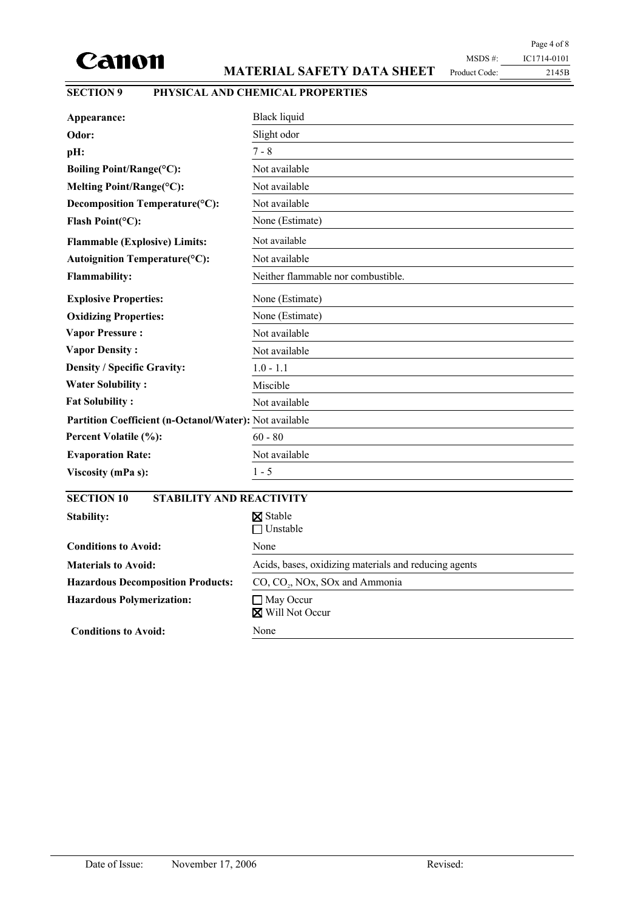

# **MATERIAL SAFETY DATA SHEET**

Page 4 of 8 MSDS #: IC1714-0101 Product Code:

2145B

# **SECTION 9 PHYSICAL AND CHEMICAL PROPERTIES**

| Appearance:                                            | <b>Black liquid</b>                                   |
|--------------------------------------------------------|-------------------------------------------------------|
| Odor:                                                  | Slight odor                                           |
| pH:                                                    | $7 - 8$                                               |
| Boiling Point/Range(°C):                               | Not available                                         |
| Melting Point/Range(°C):                               | Not available                                         |
| Decomposition Temperature(°C):                         | Not available                                         |
| Flash Point(°C):                                       | None (Estimate)                                       |
| <b>Flammable (Explosive) Limits:</b>                   | Not available                                         |
| Autoignition Temperature(°C):                          | Not available                                         |
| <b>Flammability:</b>                                   | Neither flammable nor combustible.                    |
| <b>Explosive Properties:</b>                           | None (Estimate)                                       |
| <b>Oxidizing Properties:</b>                           | None (Estimate)                                       |
| <b>Vapor Pressure:</b>                                 | Not available                                         |
| <b>Vapor Density:</b>                                  | Not available                                         |
| <b>Density / Specific Gravity:</b>                     | $1.0 - 1.1$                                           |
| <b>Water Solubility:</b>                               | Miscible                                              |
| <b>Fat Solubility:</b>                                 | Not available                                         |
| Partition Coefficient (n-Octanol/Water): Not available |                                                       |
| Percent Volatile (%):                                  | $60 - 80$                                             |
| <b>Evaporation Rate:</b>                               | Not available                                         |
| Viscosity (mPa s):                                     | $1 - 5$                                               |
| <b>SECTION 10</b><br><b>STABILITY AND REACTIVITY</b>   |                                                       |
| Stability:                                             | <b>X</b> Stable<br>$\Box$ Unstable                    |
| <b>Conditions to Avoid:</b>                            | None                                                  |
| <b>Materials to Avoid:</b>                             | Acids, bases, oxidizing materials and reducing agents |
| <b>Hazardous Decomposition Products:</b>               | CO, CO., NOx, SOx and Ammonia                         |
| <b>Hazardous Polymerization:</b>                       | $\Box$ May Occur                                      |

**Conditions to Avoid:** None

Will Not Occur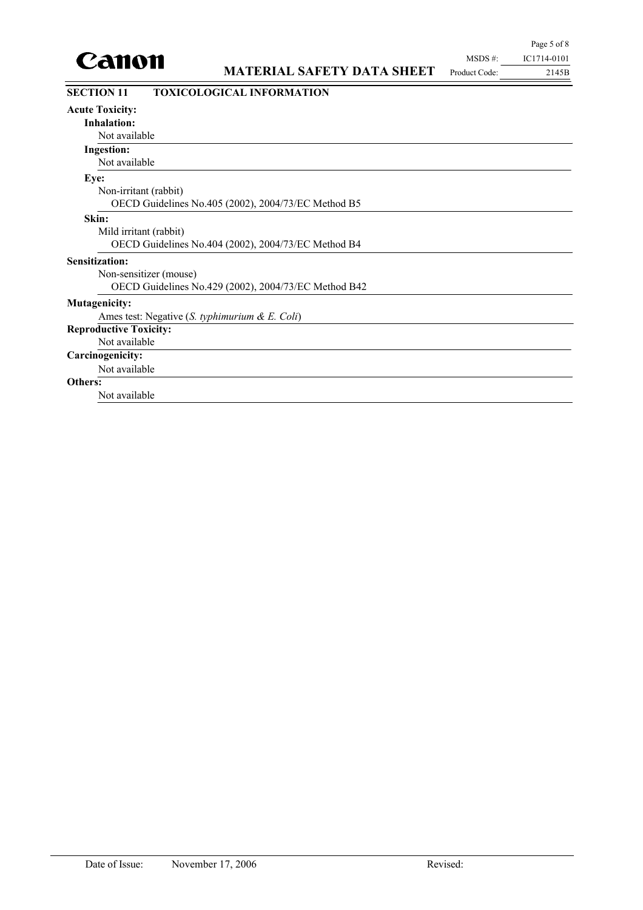

| <b>SECTION 11</b>             | <b>TOXICOLOGICAL INFORMATION</b>                     |
|-------------------------------|------------------------------------------------------|
| <b>Acute Toxicity:</b>        |                                                      |
| <b>Inhalation:</b>            |                                                      |
| Not available                 |                                                      |
| <b>Ingestion:</b>             |                                                      |
| Not available                 |                                                      |
| Eye:                          |                                                      |
| Non-irritant (rabbit)         |                                                      |
|                               | OECD Guidelines No.405 (2002), 2004/73/EC Method B5  |
| Skin:                         |                                                      |
| Mild irritant (rabbit)        |                                                      |
|                               | OECD Guidelines No.404 (2002), 2004/73/EC Method B4  |
| <b>Sensitization:</b>         |                                                      |
|                               | Non-sensitizer (mouse)                               |
|                               | OECD Guidelines No.429 (2002), 2004/73/EC Method B42 |
| <b>Mutagenicity:</b>          |                                                      |
|                               | Ames test: Negative (S. typhimurium & E. Coli)       |
| <b>Reproductive Toxicity:</b> |                                                      |
| Not available                 |                                                      |
| Carcinogenicity:              |                                                      |
| Not available                 |                                                      |
| Others:                       |                                                      |
| Not available                 |                                                      |
|                               |                                                      |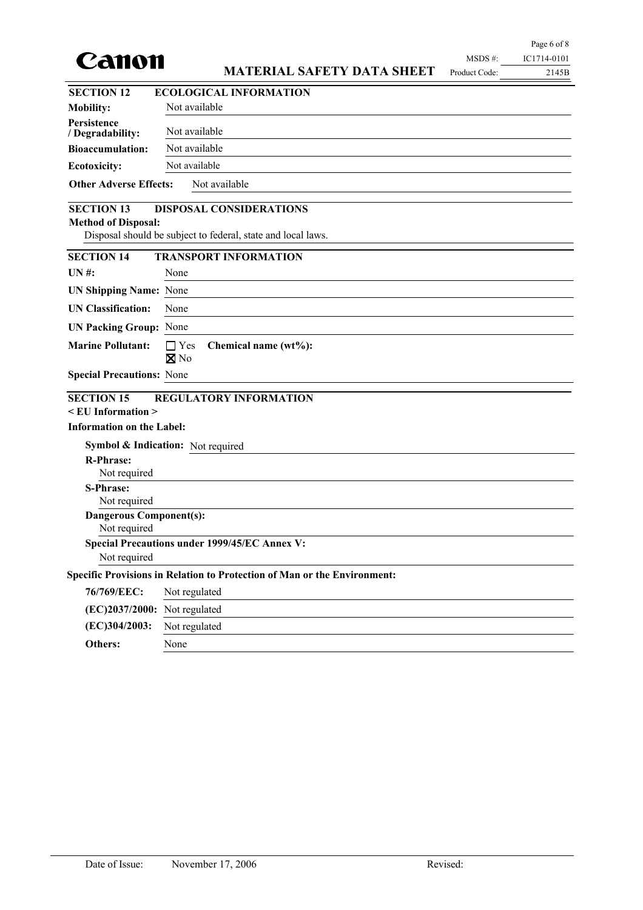

# **MATERIAL SAFETY DATA SHEET**

Page 6 of 8 MSDS #: IC1714-0101 Product Code:

2145B

| <b>SECTION 12</b>                               | <b>ECOLOGICAL INFORMATION</b>                                            |  |  |  |  |
|-------------------------------------------------|--------------------------------------------------------------------------|--|--|--|--|
| <b>Mobility:</b>                                | Not available                                                            |  |  |  |  |
| Persistence<br>/ Degradability:                 | Not available                                                            |  |  |  |  |
| <b>Bioaccumulation:</b>                         | Not available                                                            |  |  |  |  |
| <b>Ecotoxicity:</b>                             | Not available                                                            |  |  |  |  |
| <b>Other Adverse Effects:</b>                   | Not available                                                            |  |  |  |  |
| <b>SECTION 13</b>                               | <b>DISPOSAL CONSIDERATIONS</b>                                           |  |  |  |  |
| <b>Method of Disposal:</b>                      |                                                                          |  |  |  |  |
|                                                 | Disposal should be subject to federal, state and local laws.             |  |  |  |  |
| <b>SECTION 14</b>                               | <b>TRANSPORT INFORMATION</b>                                             |  |  |  |  |
| UN#                                             | None                                                                     |  |  |  |  |
| <b>UN Shipping Name: None</b>                   |                                                                          |  |  |  |  |
| <b>UN Classification:</b>                       | None                                                                     |  |  |  |  |
| <b>UN Packing Group: None</b>                   |                                                                          |  |  |  |  |
| <b>Marine Pollutant:</b>                        | $\Box$ Yes<br>Chemical name (wt%):<br>$\n  X$ No                         |  |  |  |  |
| <b>Special Precautions: None</b>                |                                                                          |  |  |  |  |
| <b>SECTION 15</b><br>$\le$ EU Information $\ge$ | <b>REGULATORY INFORMATION</b>                                            |  |  |  |  |
| <b>Information on the Label:</b>                |                                                                          |  |  |  |  |
|                                                 | Symbol & Indication: Not required                                        |  |  |  |  |
| <b>R-Phrase:</b>                                |                                                                          |  |  |  |  |
| Not required                                    |                                                                          |  |  |  |  |
| <b>S-Phrase:</b><br>Not required                |                                                                          |  |  |  |  |
| <b>Dangerous Component(s):</b>                  |                                                                          |  |  |  |  |
| Not required                                    |                                                                          |  |  |  |  |
|                                                 | Special Precautions under 1999/45/EC Annex V:                            |  |  |  |  |
| Not required                                    |                                                                          |  |  |  |  |
|                                                 | Specific Provisions in Relation to Protection of Man or the Environment: |  |  |  |  |
| 76/769/EEC:                                     | Not regulated                                                            |  |  |  |  |
| (EC)2037/2000: Not regulated                    |                                                                          |  |  |  |  |
| (EC)304/2003:                                   | Not regulated                                                            |  |  |  |  |
| Others:                                         | None                                                                     |  |  |  |  |
|                                                 |                                                                          |  |  |  |  |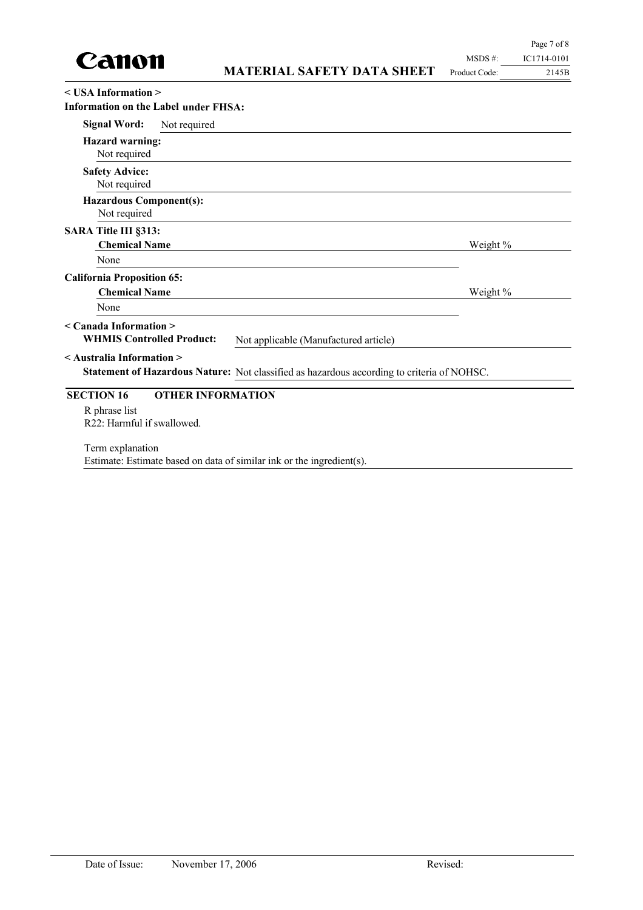

| $\leq$ USA Information $\geq$<br><b>Information on the Label under FHSA:</b> |                          |                                                                                            |          |  |  |
|------------------------------------------------------------------------------|--------------------------|--------------------------------------------------------------------------------------------|----------|--|--|
| <b>Signal Word:</b>                                                          | Not required             |                                                                                            |          |  |  |
| <b>Hazard warning:</b><br>Not required                                       |                          |                                                                                            |          |  |  |
| <b>Safety Advice:</b><br>Not required                                        |                          |                                                                                            |          |  |  |
| <b>Hazardous Component(s):</b><br>Not required                               |                          |                                                                                            |          |  |  |
| SARA Title III §313:<br><b>Chemical Name</b>                                 |                          |                                                                                            | Weight % |  |  |
| None                                                                         |                          |                                                                                            |          |  |  |
| <b>California Proposition 65:</b>                                            |                          |                                                                                            |          |  |  |
| <b>Chemical Name</b>                                                         |                          |                                                                                            | Weight % |  |  |
| None                                                                         |                          |                                                                                            |          |  |  |
| $\leq$ Canada Information $\geq$<br><b>WHMIS Controlled Product:</b>         |                          | Not applicable (Manufactured article)                                                      |          |  |  |
| < Australia Information >                                                    |                          | Statement of Hazardous Nature: Not classified as hazardous according to criteria of NOHSC. |          |  |  |
| <b>SECTION 16</b>                                                            | <b>OTHER INFORMATION</b> |                                                                                            |          |  |  |
| R phrase list<br>R22: Harmful if swallowed.                                  |                          |                                                                                            |          |  |  |
| Term explanation                                                             |                          | Estimate: Estimate based on data of similar ink or the ingredient(s).                      |          |  |  |